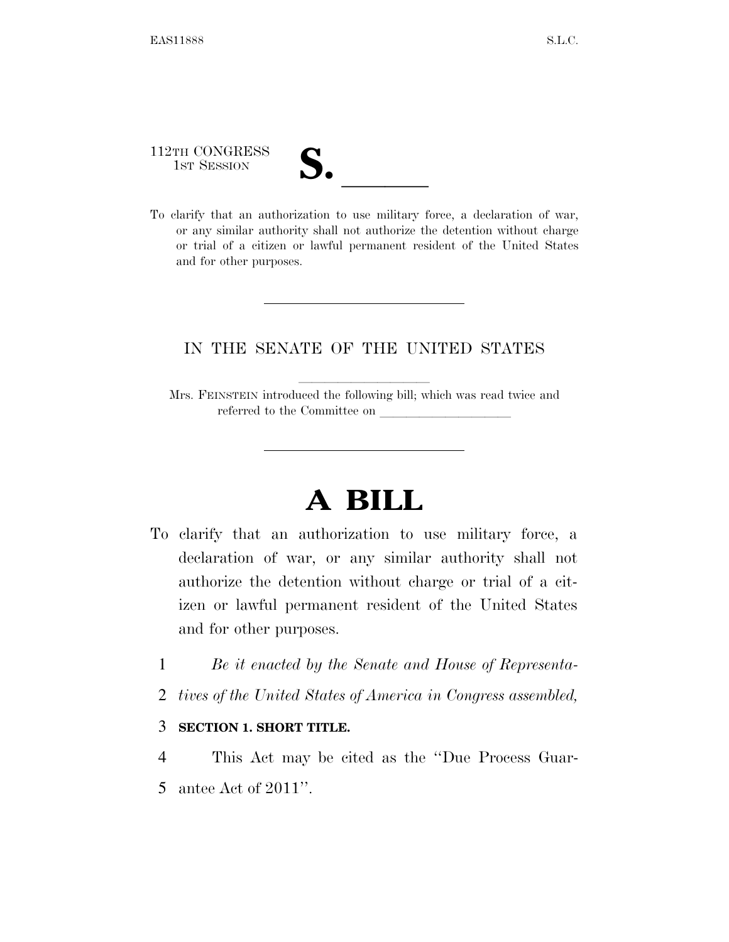112TH CONGRESS

112TH CONGRESS<br>
1ST SESSION<br>
To clarify that an authorization to use military force, a declaration of war, or any similar authority shall not authorize the detention without charge or trial of a citizen or lawful permanent resident of the United States and for other purposes.

## IN THE SENATE OF THE UNITED STATES

Mrs. FEINSTEIN introduced the following bill; which was read twice and referred to the Committee on

## **A BILL**

- To clarify that an authorization to use military force, a declaration of war, or any similar authority shall not authorize the detention without charge or trial of a citizen or lawful permanent resident of the United States and for other purposes.
	- 1 *Be it enacted by the Senate and House of Representa-*
	- 2 *tives of the United States of America in Congress assembled,*

## 3 **SECTION 1. SHORT TITLE.**

4 This Act may be cited as the ''Due Process Guar-5 antee Act of 2011''.